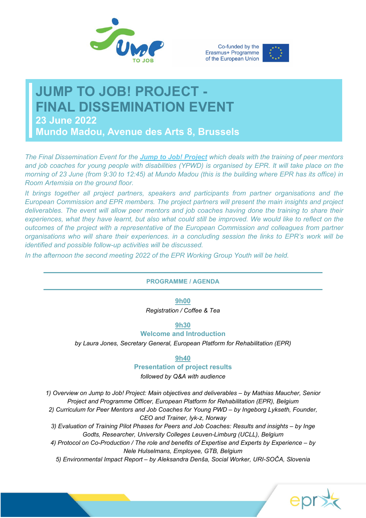





# **JUMP TO JOB! PROJECT - FINAL DISSEMINATION EVENT 23 June 2022**

**Mundo Madou, Avenue des Arts 8, Brussels**

*The Final Dissemination Event for the [Jump to Job! Project](https://epr.eu/jump-to-job) which deals with the training of peer mentors and job coaches for young people with disabilities (YPWD) is organised by EPR. It will take place on the morning of 23 June (from 9:30 to 12:45) at Mundo Madou (this is the building where EPR has its office) in Room Artemisia on the ground floor.*

*It brings together all project partners, speakers and participants from partner organisations and the European Commission and EPR members. The project partners will present the main insights and project deliverables. The event will allow peer mentors and job coaches having done the training to share their experiences, what they have learnt, but also what could still be improved. We would like to reflect on the outcomes of the project with a representative of the European Commission and colleagues from partner organisations who will share their experiences. in a concluding session the links to EPR's work will be identified and possible follow-up activities will be discussed.*

*In the afternoon the second meeting 2022 of the EPR Working Group Youth will be held.*

## **PROGRAMME / AGENDA**

**9h00**

*Registration / Coffee & Tea*

**9h30**

# **Welcome and Introduction**

*by Laura Jones, Secretary General, European Platform for Rehabilitation (EPR)*

#### **9h40**

#### **Presentation of project results**

*followed by Q&A with audience*

*1) Overview on Jump to Job! Project: Main objectives and deliverables – by Mathias Maucher, Senior Project and Programme Officer, European Platform for Rehabilitation (EPR), Belgium*

*2) Curriculum for Peer Mentors and Job Coaches for Young PWD – by Ingeborg Lykseth, Founder, CEO and Trainer, lyk-z, Norway*

*3) Evaluation of Training Pilot Phases for Peers and Job Coaches: Results and insights – by Inge Godts, Researcher, University Colleges Leuven-Limburg (UCLL), Belgium*

*4) Protocol on Co-Production / The role and benefits of Expertise and Experts by Experience – by Nele Hulselmans, Employee, GTB, Belgium*

*5) Environmental Impact Report – by Aleksandra Denša, Social Worker, URI-SOČA, Slovenia*